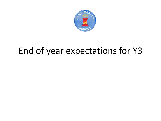

## End of year expectations for Y3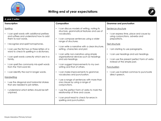

## **Writing end of year expectations**



| A year 3 writer                                                                                                                                                                                                                                                                                                                                                                                                                                                                                                                                                                                                                                         |                                                                                                                                                                                                                                                                                                                                                                                                                                                                                                                                                                                                                                                                                                                                                                                                                       |                                                                                                                                                                                                                                                                                                                                                                                                                  |  |
|---------------------------------------------------------------------------------------------------------------------------------------------------------------------------------------------------------------------------------------------------------------------------------------------------------------------------------------------------------------------------------------------------------------------------------------------------------------------------------------------------------------------------------------------------------------------------------------------------------------------------------------------------------|-----------------------------------------------------------------------------------------------------------------------------------------------------------------------------------------------------------------------------------------------------------------------------------------------------------------------------------------------------------------------------------------------------------------------------------------------------------------------------------------------------------------------------------------------------------------------------------------------------------------------------------------------------------------------------------------------------------------------------------------------------------------------------------------------------------------------|------------------------------------------------------------------------------------------------------------------------------------------------------------------------------------------------------------------------------------------------------------------------------------------------------------------------------------------------------------------------------------------------------------------|--|
| <b>Transcription</b>                                                                                                                                                                                                                                                                                                                                                                                                                                                                                                                                                                                                                                    | Composition                                                                                                                                                                                                                                                                                                                                                                                                                                                                                                                                                                                                                                                                                                                                                                                                           | <b>Grammar and punctuation</b>                                                                                                                                                                                                                                                                                                                                                                                   |  |
| Spelling<br>I can spell words with additional prefixes<br>and suffixes and understand how to add<br>them to root words.<br>I recognise and spell homophones.<br>$\bullet$<br>I can use the first two or three letters of a<br>$\bullet$<br>word to check its spelling in a dictionary.<br>I can spell words correctly which are in a<br>family.<br>I can spell the commonly mis-spelt words<br>from the Y3/4 word list.<br>I can identify the root in longer words.<br>$\bullet$<br>Handwriting<br>I use the diagonal and horizontal strokes<br>that are needed to join letters.<br>I understand which letters should be left<br>$\bullet$<br>unjoined. | I can discuss models of writing, noting its<br>structure, grammatical features and use of<br>vocabulary.<br>I can compose sentences using a wider<br>$\bullet$<br>range of structures.<br>I can write a narrative with a clear structure,<br>setting, characters and plot.<br>I can write non-narrative using simple<br>$\bullet$<br>organisational devices such as headings<br>and sub-headings.<br>I can suggest improvements to my own<br>writing and that of others.<br>I can make improvements to grammar,<br>vocabulary and punctuation.<br>I use a range of sentences with more than<br>one clause by using a range of<br>conjunctions.<br>I use the perfect form of verbs to mark the<br>$\bullet$<br>relationship of time and cause.<br>I can proof-read to check for errors in<br>spelling and punctuation. | Sentence structure<br>I can express time, place and cause by<br>$\bullet$<br>using conjunctions, adverbs and<br>prepositions.<br>Text structure<br>I am starting to use paragraphs.<br>$\bullet$<br>• I can use headings and sub headings.<br>I can use the present perfect form of verbs<br>$\bullet$<br>instead of the simple past.<br>Punctuation<br>I can use inverted commas to punctuate<br>direct speech. |  |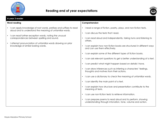



| A year 3 reader                                                                                                                                                                                                                         |                                                                                                                         |
|-----------------------------------------------------------------------------------------------------------------------------------------------------------------------------------------------------------------------------------------|-------------------------------------------------------------------------------------------------------------------------|
| <b>Word reading</b>                                                                                                                                                                                                                     | Comprehension                                                                                                           |
| I can apply knowledge of root words, prefixes and suffixes to read<br>aloud and to understand the meaning of unfamiliar words.<br>I can read further exception words, noting the unusual<br>correspondences between spelling and sound. | I read a range of fiction, poetry, plays, and non-fiction texts.<br>$\bullet$                                           |
|                                                                                                                                                                                                                                         | I can discuss the texts that I read.<br>$\bullet$                                                                       |
|                                                                                                                                                                                                                                         | I can read aloud and independently, taking turns and listening to<br>others.                                            |
| I attempt pronunciation of unfamiliar words drawing on prior<br>knowledge of similar looking words.                                                                                                                                     | I can explain how non-fiction books are structured in different ways<br>and can use them effectively.                   |
|                                                                                                                                                                                                                                         | I can explain some of the different types of fiction books.                                                             |
|                                                                                                                                                                                                                                         | I can ask relevant questions to get a better understanding of a text.                                                   |
|                                                                                                                                                                                                                                         | I can predict what might happen based on details I have.<br>$\bullet$                                                   |
|                                                                                                                                                                                                                                         | I can draw inferences such as inferring a characters' feelings,<br>thoughts and motives from their actions.             |
|                                                                                                                                                                                                                                         | I can use a dictionary to check the meaning of unfamiliar words.                                                        |
|                                                                                                                                                                                                                                         | I can identify the main point of a text.                                                                                |
|                                                                                                                                                                                                                                         | I can explain how structure and presentation contribute to the<br>meaning of texts.                                     |
|                                                                                                                                                                                                                                         | I can use non-fiction texts to retrieve information.                                                                    |
|                                                                                                                                                                                                                                         | I can prepare poems to read aloud and to perform, showing<br>understanding through intonation, tone, volume and action. |